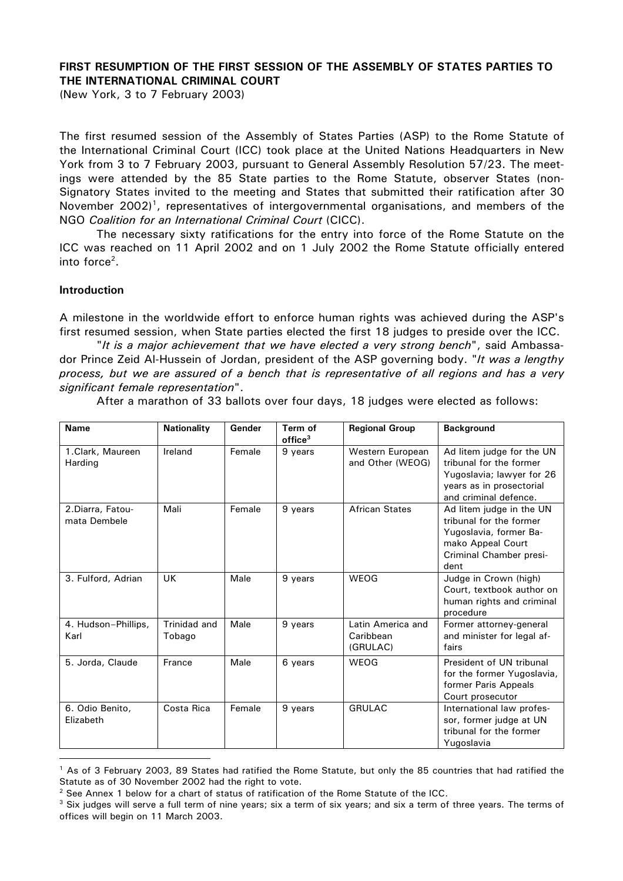# **FIRST RESUMPTION OF THE FIRST SESSION OF THE ASSEMBLY OF STATES PARTIES TO THE INTERNATIONAL CRIMINAL COURT**

(New York, 3 to 7 February 2003)

The first resumed session of the Assembly of States Parties (ASP) to the Rome Statute of the International Criminal Court (ICC) took place at the United Nations Headquarters in New York from 3 to 7 February 2003, pursuant to General Assembly Resolution 57/23. The meetings were attended by the 85 State parties to the Rome Statute, observer States (non-Signatory States invited to the meeting and States that submitted their ratification after 30 November  $2002$ <sup>1</sup>, representatives of intergovernmental organisations, and members of the NGO *Coalition for an International Criminal Court* (CICC).

The necessary sixty ratifications for the entry into force of the Rome Statute on the ICC was reached on 11 April 2002 and on 1 July 2002 the Rome Statute officially entered into force<sup>2</sup>.

#### **Introduction**

 $\overline{a}$ 

A milestone in the worldwide effort to enforce human rights was achieved during the ASP's first resumed session, when State parties elected the first 18 judges to preside over the ICC.

"*It is a major achievement that we have elected a very strong bench*", said Ambassador Prince Zeid Al-Hussein of Jordan, president of the ASP governing body. "*It was a lengthy process, but we are assured of a bench that is representative of all regions and has a very significant female representation*".

| <b>Name</b>                       | <b>Nationality</b>     | Gender | Term of<br>$of$ fice $3$ | <b>Regional Group</b>                      | <b>Background</b>                                                                                                                      |
|-----------------------------------|------------------------|--------|--------------------------|--------------------------------------------|----------------------------------------------------------------------------------------------------------------------------------------|
| 1.Clark, Maureen<br>Harding       | Ireland                | Female | 9 years                  | Western European<br>and Other (WEOG)       | Ad litem judge for the UN<br>tribunal for the former<br>Yugoslavia; lawyer for 26<br>years as in prosectorial<br>and criminal defence. |
| 2. Diarra, Fatou-<br>mata Dembele | Mali                   | Female | 9 years                  | <b>African States</b>                      | Ad litem judge in the UN<br>tribunal for the former<br>Yugoslavia, former Ba-<br>mako Appeal Court<br>Criminal Chamber presi-<br>dent  |
| 3. Fulford, Adrian                | UK                     | Male   | 9 years                  | WEOG                                       | Judge in Crown (high)<br>Court, textbook author on<br>human rights and criminal<br>procedure                                           |
| 4. Hudson-Phillips,<br>Karl       | Trinidad and<br>Tobago | Male   | 9 years                  | Latin America and<br>Caribbean<br>(GRULAC) | Former attorney-general<br>and minister for legal af-<br>fairs                                                                         |
| 5. Jorda, Claude                  | France                 | Male   | 6 years                  | WEOG                                       | President of UN tribunal<br>for the former Yugoslavia,<br>former Paris Appeals<br>Court prosecutor                                     |
| 6. Odio Benito,<br>Elizabeth      | Costa Rica             | Female | 9 years                  | <b>GRULAC</b>                              | International law profes-<br>sor, former judge at UN<br>tribunal for the former<br>Yugoslavia                                          |

After a marathon of 33 ballots over four days, 18 judges were elected as follows:

<sup>&</sup>lt;sup>1</sup> As of 3 February 2003, 89 States had ratified the Rome Statute, but only the 85 countries that had ratified the Statute as of 30 November 2002 had the right to vote.

 $2$  See Annex 1 below for a chart of status of ratification of the Rome Statute of the ICC.

 $3$  Six judges will serve a full term of nine years; six a term of six years; and six a term of three years. The terms of offices will begin on 11 March 2003.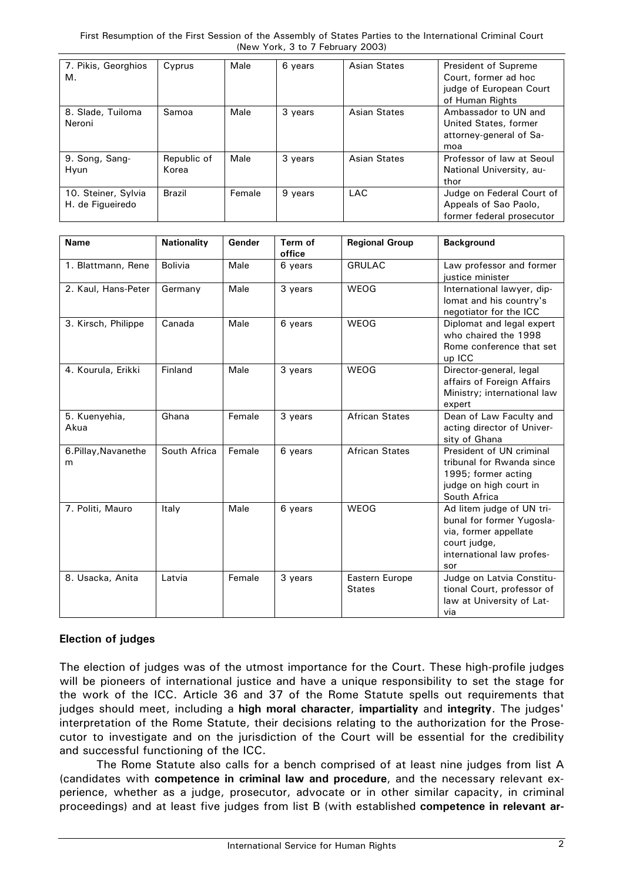| 7. Pikis, Georghios | Cyprus      | Male   | 6 years | <b>Asian States</b> | <b>President of Supreme</b> |
|---------------------|-------------|--------|---------|---------------------|-----------------------------|
| м.                  |             |        |         |                     | Court, former ad hoc        |
|                     |             |        |         |                     | judge of European Court     |
|                     |             |        |         |                     | of Human Rights             |
| 8. Slade, Tuiloma   | Samoa       | Male   | 3 years | Asian States        | Ambassador to UN and        |
| Neroni              |             |        |         |                     | United States, former       |
|                     |             |        |         |                     | attorney-general of Sa-     |
|                     |             |        |         |                     | moa                         |
| 9. Song, Sang-      | Republic of | Male   | 3 years | <b>Asian States</b> | Professor of law at Seoul   |
| Hyun                | Korea       |        |         |                     | National University, au-    |
|                     |             |        |         |                     | thor                        |
| 10. Steiner, Sylvia | Brazil      | Female | 9 years | <b>LAC</b>          | Judge on Federal Court of   |
| H. de Figueiredo    |             |        |         |                     | Appeals of Sao Paolo,       |
|                     |             |        |         |                     | former federal prosecutor   |

| <b>Name</b>               | <b>Nationality</b> | Gender | Term of<br>office | <b>Regional Group</b>           | <b>Background</b>                                                                                                                   |
|---------------------------|--------------------|--------|-------------------|---------------------------------|-------------------------------------------------------------------------------------------------------------------------------------|
| 1. Blattmann, Rene        | Bolivia            | Male   | 6 years           | <b>GRULAC</b>                   | Law professor and former<br>justice minister                                                                                        |
| 2. Kaul, Hans-Peter       | Germany            | Male   | 3 years           | WEOG                            | International lawyer, dip-<br>lomat and his country's<br>negotiator for the ICC                                                     |
| 3. Kirsch, Philippe       | Canada             | Male   | 6 years           | WEOG                            | Diplomat and legal expert<br>who chaired the 1998<br>Rome conference that set<br>up ICC                                             |
| 4. Kourula, Erikki        | Finland            | Male   | 3 years           | WEOG                            | Director-general, legal<br>affairs of Foreign Affairs<br>Ministry; international law<br>expert                                      |
| 5. Kuenyehia,<br>Akua     | Ghana              | Female | 3 years           | <b>African States</b>           | Dean of Law Faculty and<br>acting director of Univer-<br>sity of Ghana                                                              |
| 6. Pillay, Navanethe<br>m | South Africa       | Female | 6 years           | <b>African States</b>           | President of UN criminal<br>tribunal for Rwanda since<br>1995; former acting<br>judge on high court in<br>South Africa              |
| 7. Politi, Mauro          | Italy              | Male   | 6 years           | WEOG                            | Ad litem judge of UN tri-<br>bunal for former Yugosla-<br>via, former appellate<br>court judge,<br>international law profes-<br>sor |
| 8. Usacka, Anita          | Latvia             | Female | 3 years           | Eastern Europe<br><b>States</b> | Judge on Latvia Constitu-<br>tional Court, professor of<br>law at University of Lat-<br>via                                         |

# **Election of judges**

The election of judges was of the utmost importance for the Court. These high-profile judges will be pioneers of international justice and have a unique responsibility to set the stage for the work of the ICC. Article 36 and 37 of the Rome Statute spells out requirements that judges should meet, including a **high moral character**, **impartiality** and **integrity**. The judges' interpretation of the Rome Statute, their decisions relating to the authorization for the Prosecutor to investigate and on the jurisdiction of the Court will be essential for the credibility and successful functioning of the ICC.

The Rome Statute also calls for a bench comprised of at least nine judges from list A (candidates with **competence in criminal law and procedure**, and the necessary relevant experience, whether as a judge, prosecutor, advocate or in other similar capacity, in criminal proceedings) and at least five judges from list B (with established **competence in relevant ar-**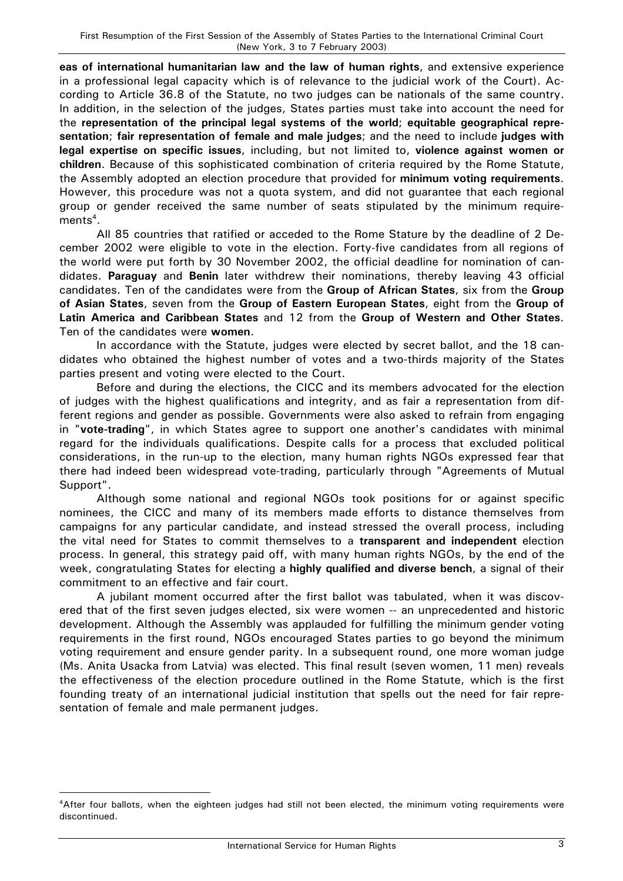**eas of international humanitarian law and the law of human rights**, and extensive experience in a professional legal capacity which is of relevance to the judicial work of the Court). According to Article 36.8 of the Statute, no two judges can be nationals of the same country. In addition, in the selection of the judges, States parties must take into account the need for the **representation of the principal legal systems of the world**; **equitable geographical representation**; **fair representation of female and male judges**; and the need to include **judges with legal expertise on specific issues**, including, but not limited to, **violence against women or children**. Because of this sophisticated combination of criteria required by the Rome Statute, the Assembly adopted an election procedure that provided for **minimum voting requirements**. However, this procedure was not a quota system, and did not guarantee that each regional group or gender received the same number of seats stipulated by the minimum requirements $^4$ .

All 85 countries that ratified or acceded to the Rome Stature by the deadline of 2 December 2002 were eligible to vote in the election. Forty-five candidates from all regions of the world were put forth by 30 November 2002, the official deadline for nomination of candidates. **Paraguay** and **Benin** later withdrew their nominations, thereby leaving 43 official candidates. Ten of the candidates were from the **Group of African States**, six from the **Group of Asian States**, seven from the **Group of Eastern European States**, eight from the **Group of Latin America and Caribbean States** and 12 from the **Group of Western and Other States**. Ten of the candidates were **women**.

In accordance with the Statute, judges were elected by secret ballot, and the 18 candidates who obtained the highest number of votes and a two-thirds majority of the States parties present and voting were elected to the Court.

Before and during the elections, the CICC and its members advocated for the election of judges with the highest qualifications and integrity, and as fair a representation from different regions and gender as possible. Governments were also asked to refrain from engaging in "**vote-trading**", in which States agree to support one another's candidates with minimal regard for the individuals qualifications. Despite calls for a process that excluded political considerations, in the run-up to the election, many human rights NGOs expressed fear that there had indeed been widespread vote-trading, particularly through "Agreements of Mutual Support".

Although some national and regional NGOs took positions for or against specific nominees, the CICC and many of its members made efforts to distance themselves from campaigns for any particular candidate, and instead stressed the overall process, including the vital need for States to commit themselves to a **transparent and independent** election process. In general, this strategy paid off, with many human rights NGOs, by the end of the week, congratulating States for electing a **highly qualified and diverse bench**, a signal of their commitment to an effective and fair court.

A jubilant moment occurred after the first ballot was tabulated, when it was discovered that of the first seven judges elected, six were women -- an unprecedented and historic development. Although the Assembly was applauded for fulfilling the minimum gender voting requirements in the first round, NGOs encouraged States parties to go beyond the minimum voting requirement and ensure gender parity. In a subsequent round, one more woman judge (Ms. Anita Usacka from Latvia) was elected. This final result (seven women, 11 men) reveals the effectiveness of the election procedure outlined in the Rome Statute, which is the first founding treaty of an international judicial institution that spells out the need for fair representation of female and male permanent judges.

<sup>4</sup>After four ballots, when the eighteen judges had still not been elected, the minimum voting requirements were discontinued.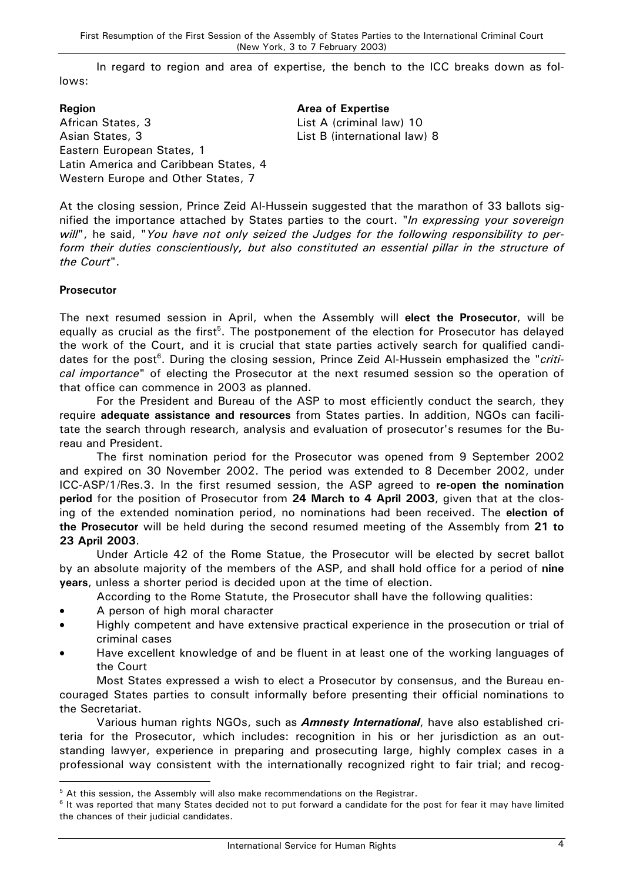In regard to region and area of expertise, the bench to the ICC breaks down as follows:

# **Region Area of Expertise** African States, 3 List A (criminal law) 10 Asian States, 3 List B (international law) 8 Eastern European States, 1 Latin America and Caribbean States, 4 Western Europe and Other States, 7

At the closing session, Prince Zeid Al-Hussein suggested that the marathon of 33 ballots signified the importance attached by States parties to the court. "*In expressing your sovereign will*", he said, "*You have not only seized the Judges for the following responsibility to perform their duties conscientiously, but also constituted an essential pillar in the structure of the Court*".

# **Prosecutor**

 $\overline{a}$ 

The next resumed session in April, when the Assembly will **elect the Prosecutor**, will be equally as crucial as the first<sup>5</sup>. The postponement of the election for Prosecutor has delayed the work of the Court, and it is crucial that state parties actively search for qualified candidates for the post<sup>6</sup>. During the closing session, Prince Zeid Al-Hussein emphasized the "*critical importance*" of electing the Prosecutor at the next resumed session so the operation of that office can commence in 2003 as planned.

For the President and Bureau of the ASP to most efficiently conduct the search, they require **adequate assistance and resources** from States parties. In addition, NGOs can facilitate the search through research, analysis and evaluation of prosecutor's resumes for the Bureau and President.

The first nomination period for the Prosecutor was opened from 9 September 2002 and expired on 30 November 2002. The period was extended to 8 December 2002, under ICC-ASP/1/Res.3. In the first resumed session, the ASP agreed to **re-open the nomination period** for the position of Prosecutor from **24 March to 4 April 2003**, given that at the closing of the extended nomination period, no nominations had been received. The **election of the Prosecutor** will be held during the second resumed meeting of the Assembly from **21 to 23 April 2003**.

Under Article 42 of the Rome Statue, the Prosecutor will be elected by secret ballot by an absolute majority of the members of the ASP, and shall hold office for a period of **nine years**, unless a shorter period is decided upon at the time of election.

According to the Rome Statute, the Prosecutor shall have the following qualities:

- A person of high moral character
- Highly competent and have extensive practical experience in the prosecution or trial of criminal cases
- Have excellent knowledge of and be fluent in at least one of the working languages of the Court

Most States expressed a wish to elect a Prosecutor by consensus, and the Bureau encouraged States parties to consult informally before presenting their official nominations to the Secretariat.

Various human rights NGOs, such as *Amnesty International*, have also established criteria for the Prosecutor, which includes: recognition in his or her jurisdiction as an outstanding lawyer, experience in preparing and prosecuting large, highly complex cases in a professional way consistent with the internationally recognized right to fair trial; and recog-

<sup>&</sup>lt;sup>5</sup> At this session, the Assembly will also make recommendations on the Registrar.

<sup>&</sup>lt;sup>6</sup> It was reported that many States decided not to put forward a candidate for the post for fear it may have limited the chances of their judicial candidates.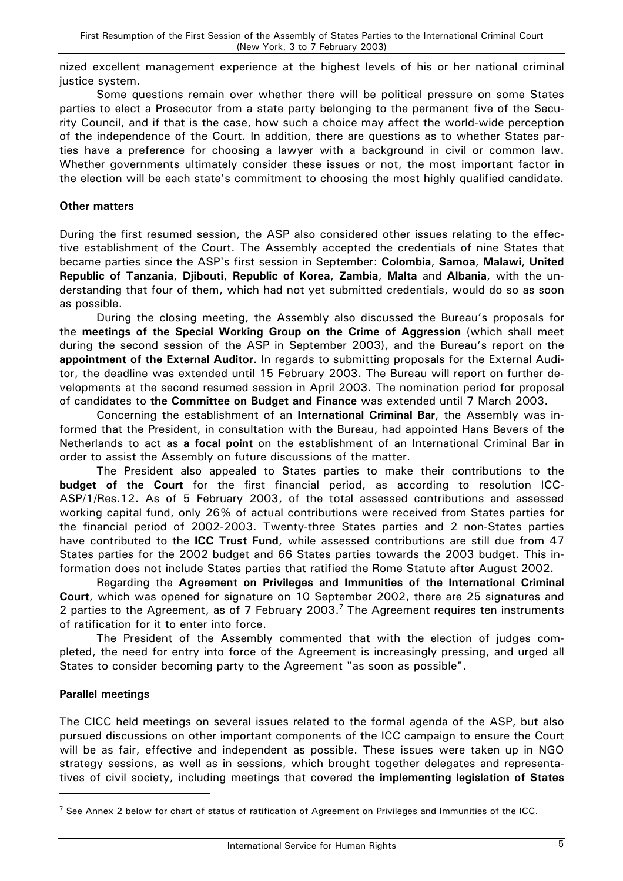nized excellent management experience at the highest levels of his or her national criminal justice system.

Some questions remain over whether there will be political pressure on some States parties to elect a Prosecutor from a state party belonging to the permanent five of the Security Council, and if that is the case, how such a choice may affect the world-wide perception of the independence of the Court. In addition, there are questions as to whether States parties have a preference for choosing a lawyer with a background in civil or common law. Whether governments ultimately consider these issues or not, the most important factor in the election will be each state's commitment to choosing the most highly qualified candidate.

## **Other matters**

During the first resumed session, the ASP also considered other issues relating to the effective establishment of the Court. The Assembly accepted the credentials of nine States that became parties since the ASP's first session in September: **Colombia**, **Samoa**, **Malawi**, **United Republic of Tanzania**, **Djibouti**, **Republic of Korea**, **Zambia**, **Malta** and **Albania**, with the understanding that four of them, which had not yet submitted credentials, would do so as soon as possible.

During the closing meeting, the Assembly also discussed the Bureau's proposals for the **meetings of the Special Working Group on the Crime of Aggression** (which shall meet during the second session of the ASP in September 2003), and the Bureau's report on the **appointment of the External Auditor**. In regards to submitting proposals for the External Auditor, the deadline was extended until 15 February 2003. The Bureau will report on further developments at the second resumed session in April 2003. The nomination period for proposal of candidates to **the Committee on Budget and Finance** was extended until 7 March 2003.

Concerning the establishment of an **International Criminal Bar**, the Assembly was informed that the President, in consultation with the Bureau, had appointed Hans Bevers of the Netherlands to act as **a focal point** on the establishment of an International Criminal Bar in order to assist the Assembly on future discussions of the matter.

The President also appealed to States parties to make their contributions to the **budget of the Court** for the first financial period, as according to resolution ICC-ASP/1/Res.12. As of 5 February 2003, of the total assessed contributions and assessed working capital fund, only 26% of actual contributions were received from States parties for the financial period of 2002-2003. Twenty-three States parties and 2 non-States parties have contributed to the **ICC Trust Fund**, while assessed contributions are still due from 47 States parties for the 2002 budget and 66 States parties towards the 2003 budget. This information does not include States parties that ratified the Rome Statute after August 2002.

Regarding the **Agreement on Privileges and Immunities of the International Criminal Court**, which was opened for signature on 10 September 2002, there are 25 signatures and 2 parties to the Agreement, as of 7 February 2003.<sup>7</sup> The Agreement requires ten instruments of ratification for it to enter into force.

The President of the Assembly commented that with the election of judges completed, the need for entry into force of the Agreement is increasingly pressing, and urged all States to consider becoming party to the Agreement "as soon as possible".

## **Parallel meetings**

 $\overline{a}$ 

The CICC held meetings on several issues related to the formal agenda of the ASP, but also pursued discussions on other important components of the ICC campaign to ensure the Court will be as fair, effective and independent as possible. These issues were taken up in NGO strategy sessions, as well as in sessions, which brought together delegates and representatives of civil society, including meetings that covered **the implementing legislation of States** 

<sup>&</sup>lt;sup>7</sup> See Annex 2 below for chart of status of ratification of Agreement on Privileges and Immunities of the ICC.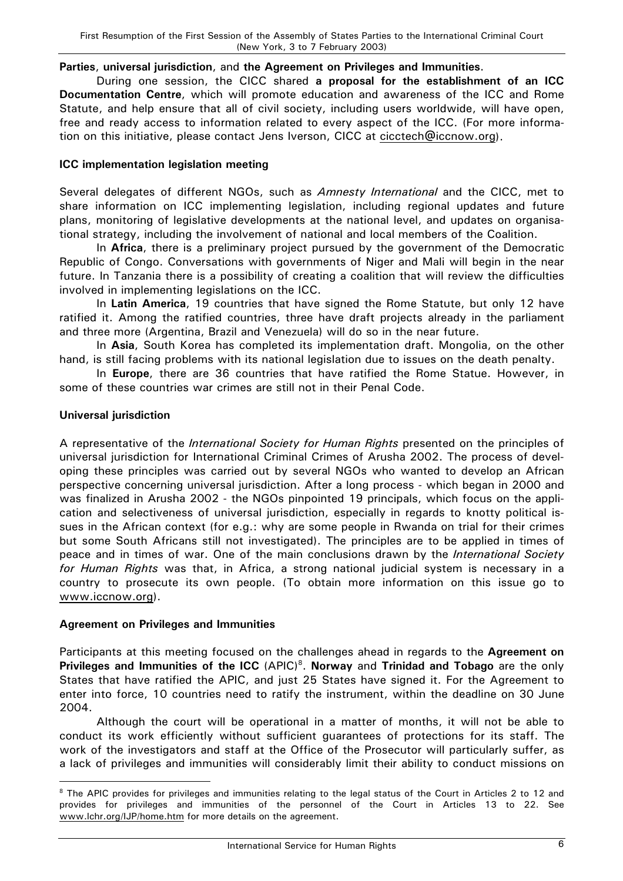#### **Parties**, **universal jurisdiction**, and **the Agreement on Privileges and Immunities**.

During one session, the CICC shared **a proposal for the establishment of an ICC Documentation Centre**, which will promote education and awareness of the ICC and Rome Statute, and help ensure that all of civil society, including users worldwide, will have open, free and ready access to information related to every aspect of the ICC. (For more information on this initiative, please contact Jens Iverson, CICC at [cicctech@iccnow.org\)](mailto:cicctech@iccnow.org).

## **ICC implementation legislation meeting**

Several delegates of different NGOs, such as *Amnesty International* and the CICC, met to share information on ICC implementing legislation, including regional updates and future plans, monitoring of legislative developments at the national level, and updates on organisational strategy, including the involvement of national and local members of the Coalition.

In **Africa**, there is a preliminary project pursued by the government of the Democratic Republic of Congo. Conversations with governments of Niger and Mali will begin in the near future. In Tanzania there is a possibility of creating a coalition that will review the difficulties involved in implementing legislations on the ICC.

In **Latin America**, 19 countries that have signed the Rome Statute, but only 12 have ratified it. Among the ratified countries, three have draft projects already in the parliament and three more (Argentina, Brazil and Venezuela) will do so in the near future.

In **Asia**, South Korea has completed its implementation draft. Mongolia, on the other hand, is still facing problems with its national legislation due to issues on the death penalty.

In **Europe**, there are 36 countries that have ratified the Rome Statue. However, in some of these countries war crimes are still not in their Penal Code.

## **Universal jurisdiction**

 $\overline{a}$ 

A representative of the *International Society for Human Rights* presented on the principles of universal jurisdiction for International Criminal Crimes of Arusha 2002. The process of developing these principles was carried out by several NGOs who wanted to develop an African perspective concerning universal jurisdiction. After a long process - which began in 2000 and was finalized in Arusha 2002 - the NGOs pinpointed 19 principals, which focus on the application and selectiveness of universal jurisdiction, especially in regards to knotty political issues in the African context (for e.g.: why are some people in Rwanda on trial for their crimes but some South Africans still not investigated). The principles are to be applied in times of peace and in times of war. One of the main conclusions drawn by the *International Society for Human Rights* was that, in Africa, a strong national judicial system is necessary in a country to prosecute its own people. (To obtain more information on this issue go to [www.iccnow.org\)](http://www.iccnow.org/).

## **Agreement on Privileges and Immunities**

Participants at this meeting focused on the challenges ahead in regards to the **Agreement on Privileges and Immunities of the ICC** (APIC)<sup>8</sup>. Norway and Trinidad and Tobago are the only States that have ratified the APIC, and just 25 States have signed it. For the Agreement to enter into force, 10 countries need to ratify the instrument, within the deadline on 30 June 2004.

Although the court will be operational in a matter of months, it will not be able to conduct its work efficiently without sufficient guarantees of protections for its staff. The work of the investigators and staff at the Office of the Prosecutor will particularly suffer, as a lack of privileges and immunities will considerably limit their ability to conduct missions on

<sup>&</sup>lt;sup>8</sup> The APIC provides for privileges and immunities relating to the legal status of the Court in Articles 2 to 12 and provides for privileges and immunities of the personnel of the Court in Articles 13 to 22. See www.lchr.org/IJP/home.htm for more details on the agreement.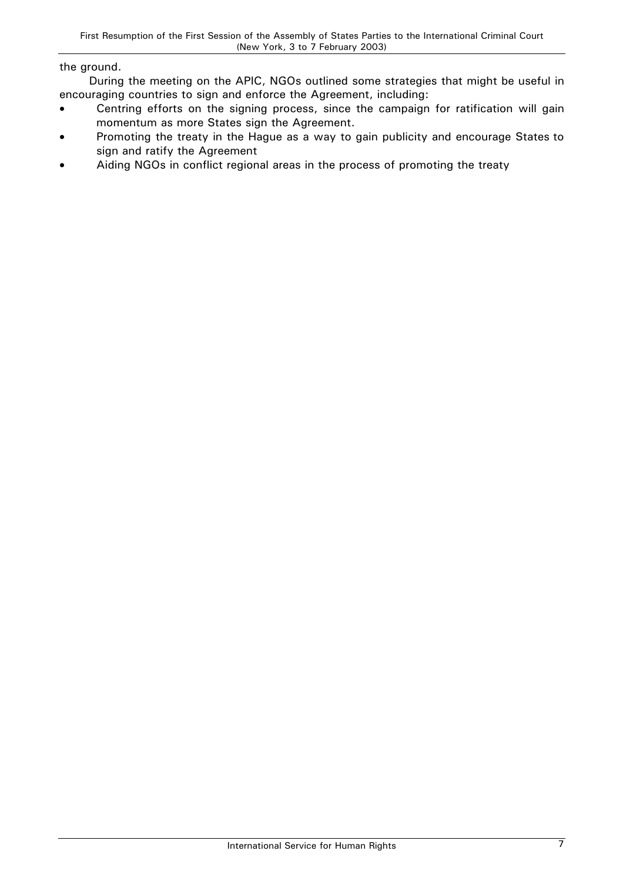#### the ground.

During the meeting on the APIC, NGOs outlined some strategies that might be useful in encouraging countries to sign and enforce the Agreement, including:

- Centring efforts on the signing process, since the campaign for ratification will gain momentum as more States sign the Agreement.
- Promoting the treaty in the Hague as a way to gain publicity and encourage States to sign and ratify the Agreement
- Aiding NGOs in conflict regional areas in the process of promoting the treaty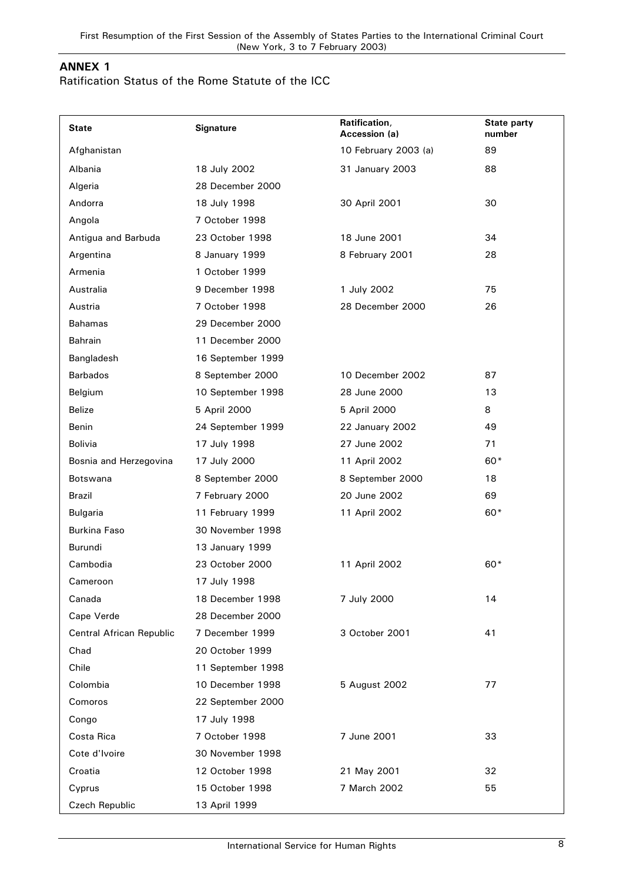# **ANNEX 1**

# Ratification Status of the Rome Statute of the ICC

| <b>State</b>             | <b>Signature</b>  | Ratification,<br>Accession (a) | <b>State party</b><br>number |
|--------------------------|-------------------|--------------------------------|------------------------------|
| Afghanistan              |                   | 10 February 2003 (a)           | 89                           |
| Albania                  | 18 July 2002      | 31 January 2003                | 88                           |
| Algeria                  | 28 December 2000  |                                |                              |
| Andorra                  | 18 July 1998      | 30 April 2001                  | 30                           |
| Angola                   | 7 October 1998    |                                |                              |
| Antigua and Barbuda      | 23 October 1998   | 18 June 2001                   | 34                           |
| Argentina                | 8 January 1999    | 8 February 2001                | 28                           |
| Armenia                  | 1 October 1999    |                                |                              |
| Australia                | 9 December 1998   | 1 July 2002                    | 75                           |
| Austria                  | 7 October 1998    | 28 December 2000               | 26                           |
| <b>Bahamas</b>           | 29 December 2000  |                                |                              |
| Bahrain                  | 11 December 2000  |                                |                              |
| Bangladesh               | 16 September 1999 |                                |                              |
| <b>Barbados</b>          | 8 September 2000  | 10 December 2002               | 87                           |
| Belgium                  | 10 September 1998 | 28 June 2000                   | 13                           |
| <b>Belize</b>            | 5 April 2000      | 5 April 2000                   | 8                            |
| Benin                    | 24 September 1999 | 22 January 2002                | 49                           |
| <b>Bolivia</b>           | 17 July 1998      | 27 June 2002                   | 71                           |
| Bosnia and Herzegovina   | 17 July 2000      | 11 April 2002                  | 60*                          |
| Botswana                 | 8 September 2000  | 8 September 2000               | 18                           |
| Brazil                   | 7 February 2000   | 20 June 2002                   | 69                           |
| Bulgaria                 | 11 February 1999  | 11 April 2002                  | 60*                          |
| <b>Burkina Faso</b>      | 30 November 1998  |                                |                              |
| Burundi                  | 13 January 1999   |                                |                              |
| Cambodia                 | 23 October 2000   | 11 April 2002                  | 60*                          |
| Cameroon                 | 17 July 1998      |                                |                              |
| Canada                   | 18 December 1998  | 7 July 2000                    | 14                           |
| Cape Verde               | 28 December 2000  |                                |                              |
| Central African Republic | 7 December 1999   | 3 October 2001                 | 41                           |
| Chad                     | 20 October 1999   |                                |                              |
| Chile                    | 11 September 1998 |                                |                              |
| Colombia                 | 10 December 1998  | 5 August 2002                  | 77                           |
| Comoros                  | 22 September 2000 |                                |                              |
| Congo                    | 17 July 1998      |                                |                              |
| Costa Rica               | 7 October 1998    | 7 June 2001                    | 33                           |
| Cote d'Ivoire            | 30 November 1998  |                                |                              |
| Croatia                  | 12 October 1998   | 21 May 2001                    | 32                           |
| Cyprus                   | 15 October 1998   | 7 March 2002                   | 55                           |
| Czech Republic           | 13 April 1999     |                                |                              |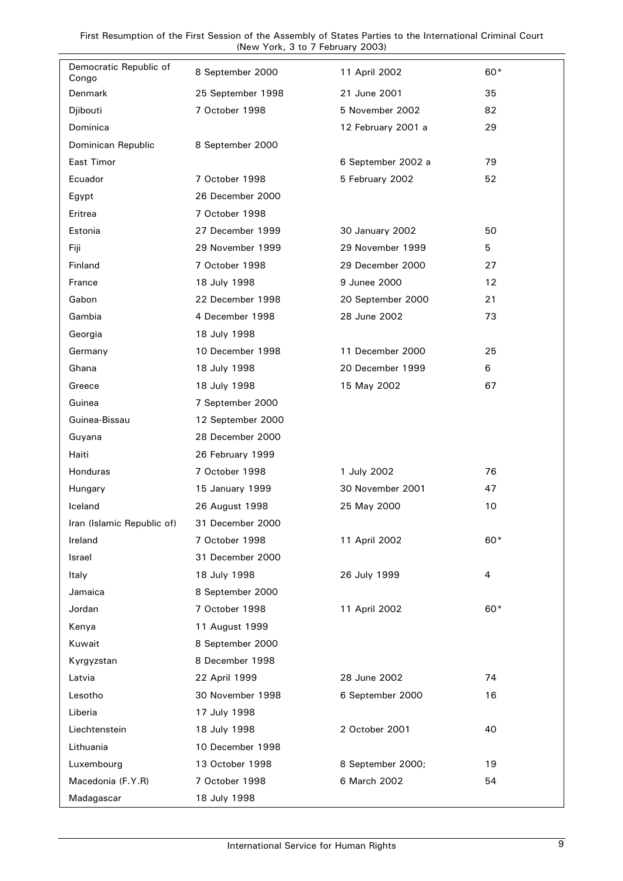| Democratic Republic of<br>Congo | 8 September 2000  | 11 April 2002      | 60* |
|---------------------------------|-------------------|--------------------|-----|
| Denmark                         | 25 September 1998 | 21 June 2001       | 35  |
| Djibouti                        | 7 October 1998    | 5 November 2002    | 82  |
| Dominica                        |                   | 12 February 2001 a | 29  |
| Dominican Republic              | 8 September 2000  |                    |     |
| East Timor                      |                   | 6 September 2002 a | 79  |
| Ecuador                         | 7 October 1998    | 5 February 2002    | 52  |
| Egypt                           | 26 December 2000  |                    |     |
| Eritrea                         | 7 October 1998    |                    |     |
| Estonia                         | 27 December 1999  | 30 January 2002    | 50  |
| Fiji                            | 29 November 1999  | 29 November 1999   | 5   |
| Finland                         | 7 October 1998    | 29 December 2000   | 27  |
| France                          | 18 July 1998      | 9 Junee 2000       | 12  |
| Gabon                           | 22 December 1998  | 20 September 2000  | 21  |
| Gambia                          | 4 December 1998   | 28 June 2002       | 73  |
| Georgia                         | 18 July 1998      |                    |     |
| Germany                         | 10 December 1998  | 11 December 2000   | 25  |
| Ghana                           | 18 July 1998      | 20 December 1999   | 6   |
| Greece                          | 18 July 1998      | 15 May 2002        | 67  |
| Guinea                          | 7 September 2000  |                    |     |
| Guinea-Bissau                   | 12 September 2000 |                    |     |
| Guyana                          | 28 December 2000  |                    |     |
| Haiti                           | 26 February 1999  |                    |     |
| Honduras                        | 7 October 1998    | 1 July 2002        | 76  |
| Hungary                         | 15 January 1999   | 30 November 2001   | 47  |
| Iceland                         | 26 August 1998    | 25 May 2000        | 10  |
| Iran (Islamic Republic of)      | 31 December 2000  |                    |     |
| Ireland                         | 7 October 1998    | 11 April 2002      | 60* |
| Israel                          | 31 December 2000  |                    |     |
| Italy                           | 18 July 1998      | 26 July 1999       | 4   |
| Jamaica                         | 8 September 2000  |                    |     |
| Jordan                          | 7 October 1998    | 11 April 2002      | 60* |
| Kenya                           | 11 August 1999    |                    |     |
| Kuwait                          | 8 September 2000  |                    |     |
| Kyrgyzstan                      | 8 December 1998   |                    |     |
| Latvia                          | 22 April 1999     | 28 June 2002       | 74  |
| Lesotho                         | 30 November 1998  | 6 September 2000   | 16  |
| Liberia                         | 17 July 1998      |                    |     |
| Liechtenstein                   | 18 July 1998      | 2 October 2001     | 40  |
| Lithuania                       | 10 December 1998  |                    |     |
| Luxembourg                      | 13 October 1998   | 8 September 2000;  | 19  |
| Macedonia (F.Y.R)               | 7 October 1998    | 6 March 2002       | 54  |
| Madagascar                      | 18 July 1998      |                    |     |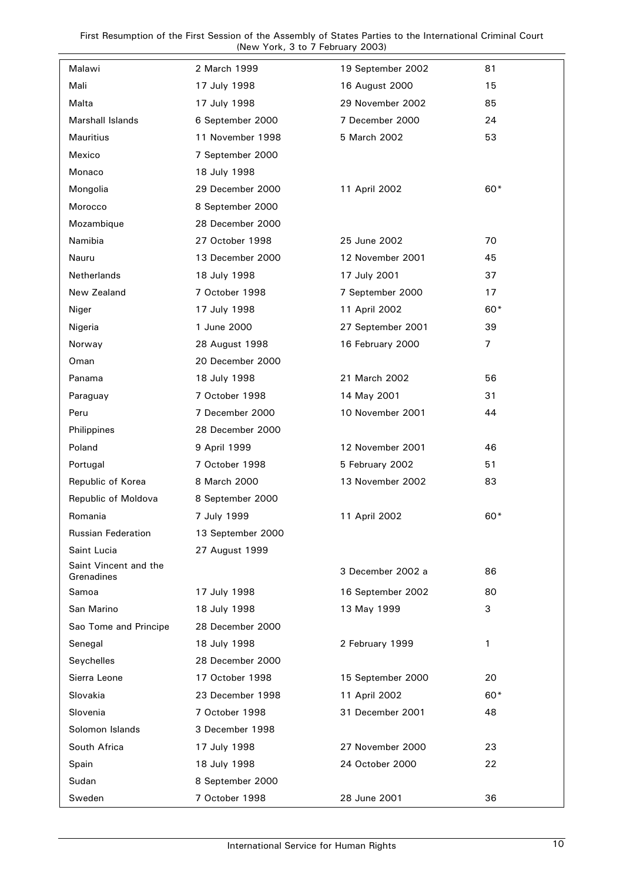First Resumption of the First Session of the Assembly of States Parties to the International Criminal Court (New York, 3 to 7 February 2003)

| Malawi                              | 2 March 1999      | 19 September 2002 | 81             |
|-------------------------------------|-------------------|-------------------|----------------|
| Mali                                | 17 July 1998      | 16 August 2000    | 15             |
| Malta                               | 17 July 1998      | 29 November 2002  | 85             |
| <b>Marshall Islands</b>             | 6 September 2000  | 7 December 2000   | 24             |
| Mauritius                           | 11 November 1998  | 5 March 2002      | 53             |
| Mexico                              | 7 September 2000  |                   |                |
| Monaco                              | 18 July 1998      |                   |                |
| Mongolia                            | 29 December 2000  | 11 April 2002     | 60*            |
| Morocco                             | 8 September 2000  |                   |                |
| Mozambique                          | 28 December 2000  |                   |                |
| Namibia                             | 27 October 1998   | 25 June 2002      | 70             |
| Nauru                               | 13 December 2000  | 12 November 2001  | 45             |
| Netherlands                         | 18 July 1998      | 17 July 2001      | 37             |
| New Zealand                         | 7 October 1998    | 7 September 2000  | 17             |
| Niger                               | 17 July 1998      | 11 April 2002     | 60*            |
| Nigeria                             | 1 June 2000       | 27 September 2001 | 39             |
| Norway                              | 28 August 1998    | 16 February 2000  | $\overline{7}$ |
| Oman                                | 20 December 2000  |                   |                |
| Panama                              | 18 July 1998      | 21 March 2002     | 56             |
| Paraguay                            | 7 October 1998    | 14 May 2001       | 31             |
| Peru                                | 7 December 2000   | 10 November 2001  | 44             |
| Philippines                         | 28 December 2000  |                   |                |
| Poland                              | 9 April 1999      | 12 November 2001  | 46             |
| Portugal                            | 7 October 1998    | 5 February 2002   | 51             |
| Republic of Korea                   | 8 March 2000      | 13 November 2002  | 83             |
| Republic of Moldova                 | 8 September 2000  |                   |                |
| Romania                             | 7 July 1999       | 11 April 2002     | 60*            |
| <b>Russian Federation</b>           | 13 September 2000 |                   |                |
| Saint Lucia                         | 27 August 1999    |                   |                |
| Saint Vincent and the<br>Grenadines |                   | 3 December 2002 a | 86             |
| Samoa                               | 17 July 1998      | 16 September 2002 | 80             |
| San Marino                          | 18 July 1998      | 13 May 1999       | 3              |
| Sao Tome and Principe               | 28 December 2000  |                   |                |
| Senegal                             | 18 July 1998      | 2 February 1999   | 1              |
| Seychelles                          | 28 December 2000  |                   |                |
| Sierra Leone                        | 17 October 1998   | 15 September 2000 | 20             |
| Slovakia                            | 23 December 1998  | 11 April 2002     | 60*            |
| Slovenia                            | 7 October 1998    | 31 December 2001  | 48             |
| Solomon Islands                     | 3 December 1998   |                   |                |
| South Africa                        | 17 July 1998      | 27 November 2000  | 23             |
| Spain                               | 18 July 1998      | 24 October 2000   | 22             |
| Sudan                               | 8 September 2000  |                   |                |
| Sweden                              | 7 October 1998    | 28 June 2001      | 36             |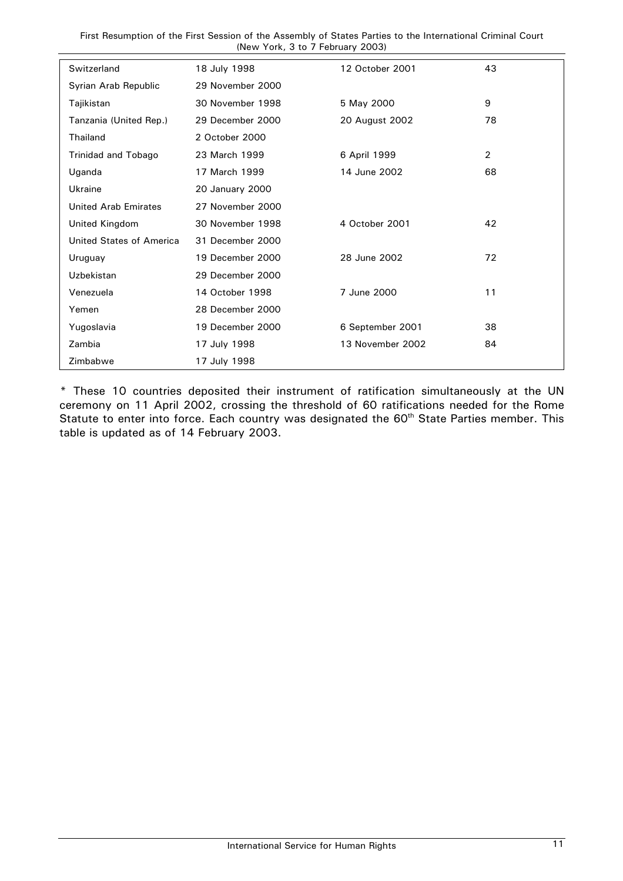First Resumption of the First Session of the Assembly of States Parties to the International Criminal Court (New York, 3 to 7 February 2003)

| Switzerland              | 18 July 1998     | 12 October 2001  | 43             |
|--------------------------|------------------|------------------|----------------|
| Syrian Arab Republic     | 29 November 2000 |                  |                |
| Tajikistan               | 30 November 1998 | 5 May 2000       | 9              |
| Tanzania (United Rep.)   | 29 December 2000 | 20 August 2002   | 78             |
| Thailand                 | 2 October 2000   |                  |                |
| Trinidad and Tobago      | 23 March 1999    | 6 April 1999     | $\overline{2}$ |
| Uganda                   | 17 March 1999    | 14 June 2002     | 68             |
| Ukraine                  | 20 January 2000  |                  |                |
| United Arab Emirates     | 27 November 2000 |                  |                |
| United Kingdom           | 30 November 1998 | 4 October 2001   | 42             |
| United States of America | 31 December 2000 |                  |                |
| Uruguay                  | 19 December 2000 | 28 June 2002     | 72             |
| Uzbekistan               | 29 December 2000 |                  |                |
| Venezuela                | 14 October 1998  | 7 June 2000      | 11             |
| Yemen                    | 28 December 2000 |                  |                |
| Yugoslavia               | 19 December 2000 | 6 September 2001 | 38             |
| Zambia                   | 17 July 1998     | 13 November 2002 | 84             |
| Zimbabwe                 | 17 July 1998     |                  |                |

\* These 10 countries deposited their instrument of ratification simultaneously at the UN ceremony on 11 April 2002, crossing the threshold of 60 ratifications needed for the Rome Statute to enter into force. Each country was designated the 60<sup>th</sup> State Parties member. This table is updated as of 14 February 2003.